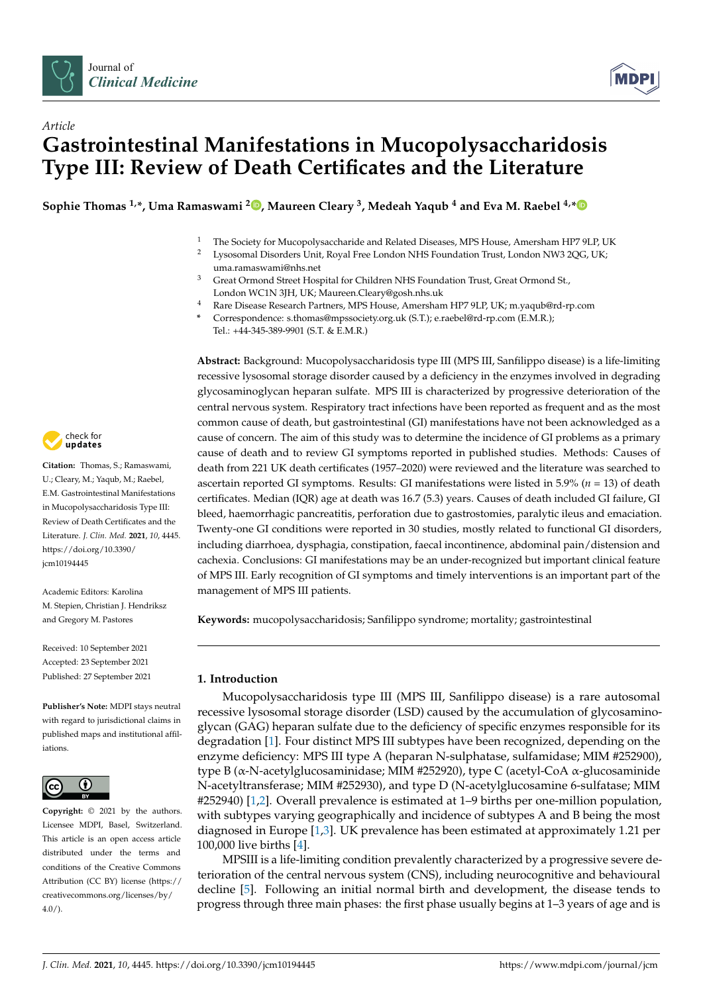

*Article*



# **Gastrointestinal Manifestations in Mucopolysaccharidosis Type III: Review of Death Certificates and the Literature**

**Sophie Thomas 1,\*, Uma Ramaswami <sup>2</sup> [,](https://orcid.org/0000-0002-4703-7447) Maureen Cleary <sup>3</sup> , Medeah Yaqub <sup>4</sup> and Eva M. Raebel 4,[\\*](https://orcid.org/0000-0002-6242-9174)**

- <sup>1</sup> The Society for Mucopolysaccharide and Related Diseases, MPS House, Amersham HP7 9LP, UK<br><sup>2</sup> Ureseantal Diseadars Unit, Boyal Free London NUS Foundation Trust, London NW2 2OC, UK.
	- <sup>2</sup> Lysosomal Disorders Unit, Royal Free London NHS Foundation Trust, London NW3 2QG, UK;
		- uma.ramaswami@nhs.net
- <sup>3</sup> Great Ormond Street Hospital for Children NHS Foundation Trust, Great Ormond St., London WC1N 3JH, UK; Maureen.Cleary@gosh.nhs.uk
- <sup>4</sup> Rare Disease Research Partners, MPS House, Amersham HP7 9LP, UK; m.yaqub@rd-rp.com
- **\*** Correspondence: s.thomas@mpssociety.org.uk (S.T.); e.raebel@rd-rp.com (E.M.R.); Tel.: +44-345-389-9901 (S.T. & E.M.R.)

**Abstract:** Background: Mucopolysaccharidosis type III (MPS III, Sanfilippo disease) is a life-limiting recessive lysosomal storage disorder caused by a deficiency in the enzymes involved in degrading glycosaminoglycan heparan sulfate. MPS III is characterized by progressive deterioration of the central nervous system. Respiratory tract infections have been reported as frequent and as the most common cause of death, but gastrointestinal (GI) manifestations have not been acknowledged as a cause of concern. The aim of this study was to determine the incidence of GI problems as a primary cause of death and to review GI symptoms reported in published studies. Methods: Causes of death from 221 UK death certificates (1957–2020) were reviewed and the literature was searched to ascertain reported GI symptoms. Results: GI manifestations were listed in 5.9% (*n* = 13) of death certificates. Median (IQR) age at death was 16.7 (5.3) years. Causes of death included GI failure, GI bleed, haemorrhagic pancreatitis, perforation due to gastrostomies, paralytic ileus and emaciation. Twenty-one GI conditions were reported in 30 studies, mostly related to functional GI disorders, including diarrhoea, dysphagia, constipation, faecal incontinence, abdominal pain/distension and cachexia. Conclusions: GI manifestations may be an under-recognized but important clinical feature of MPS III. Early recognition of GI symptoms and timely interventions is an important part of the management of MPS III patients.

**Keywords:** mucopolysaccharidosis; Sanfilippo syndrome; mortality; gastrointestinal

# **1. Introduction**

Mucopolysaccharidosis type III (MPS III, Sanfilippo disease) is a rare autosomal recessive lysosomal storage disorder (LSD) caused by the accumulation of glycosaminoglycan (GAG) heparan sulfate due to the deficiency of specific enzymes responsible for its degradation [\[1\]](#page-7-0). Four distinct MPS III subtypes have been recognized, depending on the enzyme deficiency: MPS III type A (heparan N-sulphatase, sulfamidase; MIM #252900), type B (α-N-acetylglucosaminidase; MIM #252920), type C (acetyl-CoA α-glucosaminide N-acetyltransferase; MIM #252930), and type D (N-acetylglucosamine 6-sulfatase; MIM #252940) [\[1](#page-7-0)[,2\]](#page-7-1). Overall prevalence is estimated at 1–9 births per one-million population, with subtypes varying geographically and incidence of subtypes A and B being the most diagnosed in Europe [\[1](#page-7-0)[,3\]](#page-7-2). UK prevalence has been estimated at approximately 1.21 per 100,000 live births [\[4\]](#page-7-3).

MPSIII is a life-limiting condition prevalently characterized by a progressive severe deterioration of the central nervous system (CNS), including neurocognitive and behavioural decline [\[5\]](#page-7-4). Following an initial normal birth and development, the disease tends to progress through three main phases: the first phase usually begins at 1–3 years of age and is



**Citation:** Thomas, S.; Ramaswami, U.; Cleary, M.; Yaqub, M.; Raebel, E.M. Gastrointestinal Manifestations in Mucopolysaccharidosis Type III: Review of Death Certificates and the Literature. *J. Clin. Med.* **2021**, *10*, 4445. [https://doi.org/10.3390/](https://doi.org/10.3390/jcm10194445) [jcm10194445](https://doi.org/10.3390/jcm10194445)

Academic Editors: Karolina M. Stepien, Christian J. Hendriksz and Gregory M. Pastores

Received: 10 September 2021 Accepted: 23 September 2021 Published: 27 September 2021

**Publisher's Note:** MDPI stays neutral with regard to jurisdictional claims in published maps and institutional affiliations.



**Copyright:** © 2021 by the authors. Licensee MDPI, Basel, Switzerland. This article is an open access article distributed under the terms and conditions of the Creative Commons Attribution (CC BY) license (https:/[/](https://creativecommons.org/licenses/by/4.0/) [creativecommons.org/licenses/by/](https://creativecommons.org/licenses/by/4.0/)  $4.0/$ ).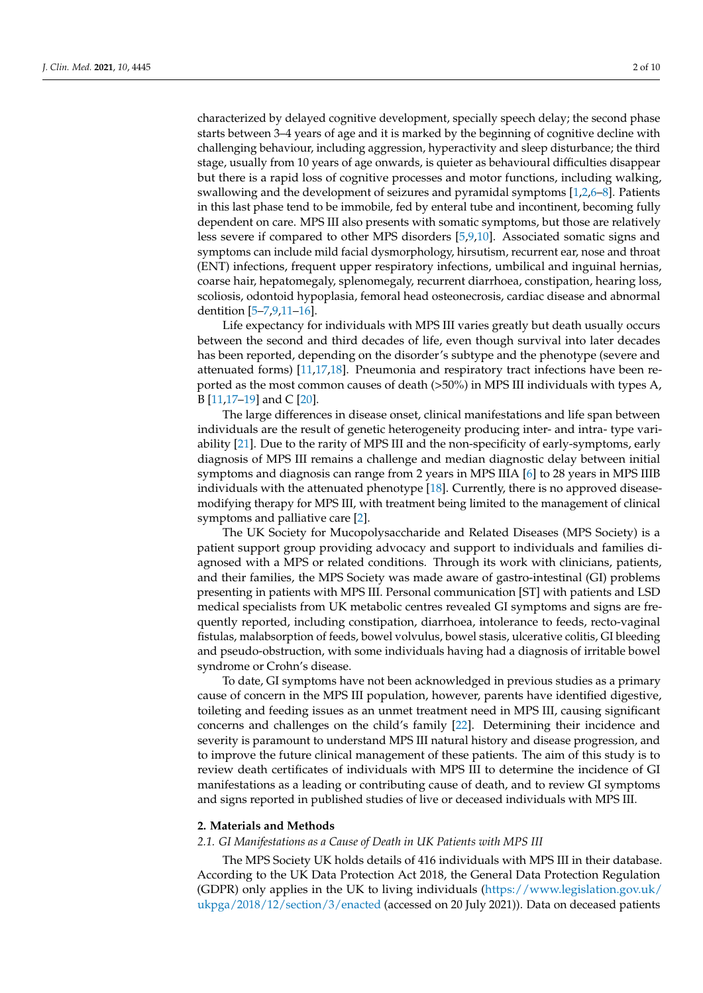characterized by delayed cognitive development, specially speech delay; the second phase starts between 3–4 years of age and it is marked by the beginning of cognitive decline with challenging behaviour, including aggression, hyperactivity and sleep disturbance; the third stage, usually from 10 years of age onwards, is quieter as behavioural difficulties disappear but there is a rapid loss of cognitive processes and motor functions, including walking, swallowing and the development of seizures and pyramidal symptoms [\[1](#page-7-0)[,2](#page-7-1)[,6](#page-7-5)[–8\]](#page-8-0). Patients in this last phase tend to be immobile, fed by enteral tube and incontinent, becoming fully dependent on care. MPS III also presents with somatic symptoms, but those are relatively less severe if compared to other MPS disorders [\[5,](#page-7-4)[9,](#page-8-1)[10\]](#page-8-2). Associated somatic signs and symptoms can include mild facial dysmorphology, hirsutism, recurrent ear, nose and throat (ENT) infections, frequent upper respiratory infections, umbilical and inguinal hernias, coarse hair, hepatomegaly, splenomegaly, recurrent diarrhoea, constipation, hearing loss, scoliosis, odontoid hypoplasia, femoral head osteonecrosis, cardiac disease and abnormal dentition [\[5](#page-7-4)[–7,](#page-7-6)[9,](#page-8-1)[11](#page-8-3)[–16\]](#page-8-4).

Life expectancy for individuals with MPS III varies greatly but death usually occurs between the second and third decades of life, even though survival into later decades has been reported, depending on the disorder's subtype and the phenotype (severe and attenuated forms) [\[11](#page-8-3)[,17](#page-8-5)[,18\]](#page-8-6). Pneumonia and respiratory tract infections have been reported as the most common causes of death (>50%) in MPS III individuals with types A, B [\[11,](#page-8-3)[17–](#page-8-5)[19\]](#page-8-7) and C [\[20\]](#page-8-8).

The large differences in disease onset, clinical manifestations and life span between individuals are the result of genetic heterogeneity producing inter- and intra- type variability [\[21\]](#page-8-9). Due to the rarity of MPS III and the non-specificity of early-symptoms, early diagnosis of MPS III remains a challenge and median diagnostic delay between initial symptoms and diagnosis can range from 2 years in MPS IIIA [\[6\]](#page-7-5) to 28 years in MPS IIIB individuals with the attenuated phenotype [\[18\]](#page-8-6). Currently, there is no approved diseasemodifying therapy for MPS III, with treatment being limited to the management of clinical symptoms and palliative care [\[2\]](#page-7-1).

The UK Society for Mucopolysaccharide and Related Diseases (MPS Society) is a patient support group providing advocacy and support to individuals and families diagnosed with a MPS or related conditions. Through its work with clinicians, patients, and their families, the MPS Society was made aware of gastro-intestinal (GI) problems presenting in patients with MPS III. Personal communication [ST] with patients and LSD medical specialists from UK metabolic centres revealed GI symptoms and signs are frequently reported, including constipation, diarrhoea, intolerance to feeds, recto-vaginal fistulas, malabsorption of feeds, bowel volvulus, bowel stasis, ulcerative colitis, GI bleeding and pseudo-obstruction, with some individuals having had a diagnosis of irritable bowel syndrome or Crohn's disease.

To date, GI symptoms have not been acknowledged in previous studies as a primary cause of concern in the MPS III population, however, parents have identified digestive, toileting and feeding issues as an unmet treatment need in MPS III, causing significant concerns and challenges on the child's family [\[22\]](#page-8-10). Determining their incidence and severity is paramount to understand MPS III natural history and disease progression, and to improve the future clinical management of these patients. The aim of this study is to review death certificates of individuals with MPS III to determine the incidence of GI manifestations as a leading or contributing cause of death, and to review GI symptoms and signs reported in published studies of live or deceased individuals with MPS III.

#### **2. Materials and Methods**

#### *2.1. GI Manifestations as a Cause of Death in UK Patients with MPS III*

The MPS Society UK holds details of 416 individuals with MPS III in their database. According to the UK Data Protection Act 2018, the General Data Protection Regulation (GDPR) only applies in the UK to living individuals [\(https://www.legislation.gov.uk/](https://www.legislation.gov.uk/ukpga/2018/12/section/3/enacted) [ukpga/2018/12/section/3/enacted](https://www.legislation.gov.uk/ukpga/2018/12/section/3/enacted) (accessed on 20 July 2021)). Data on deceased patients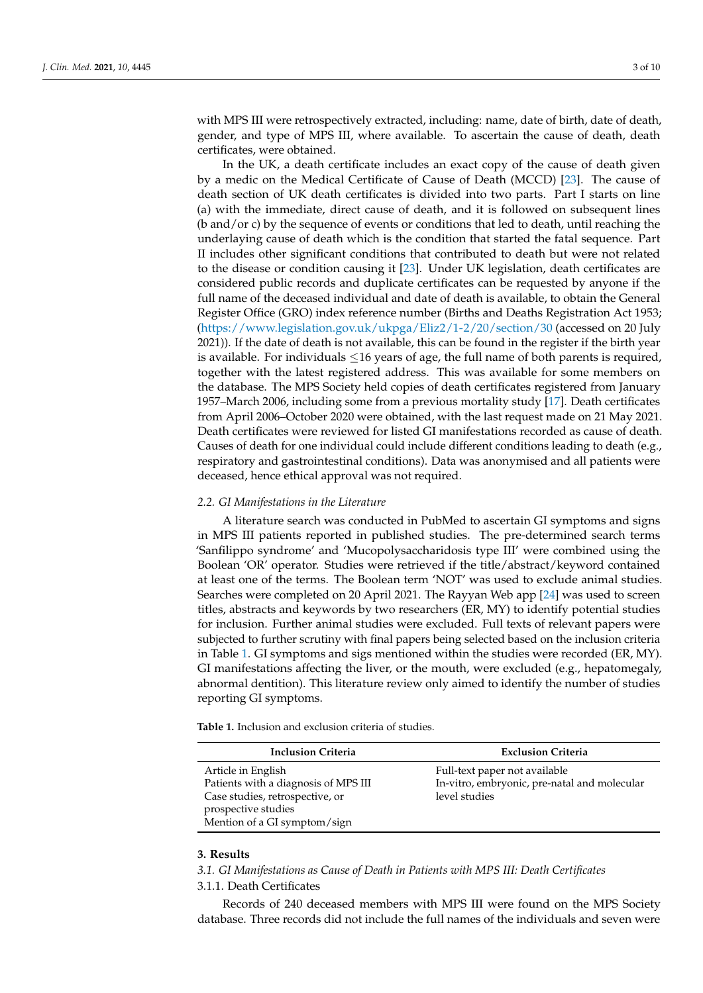with MPS III were retrospectively extracted, including: name, date of birth, date of death, gender, and type of MPS III, where available. To ascertain the cause of death, death certificates, were obtained.

In the UK, a death certificate includes an exact copy of the cause of death given by a medic on the Medical Certificate of Cause of Death (MCCD) [\[23\]](#page-8-11). The cause of death section of UK death certificates is divided into two parts. Part I starts on line (a) with the immediate, direct cause of death, and it is followed on subsequent lines (b and/or c) by the sequence of events or conditions that led to death, until reaching the underlaying cause of death which is the condition that started the fatal sequence. Part II includes other significant conditions that contributed to death but were not related to the disease or condition causing it [\[23\]](#page-8-11). Under UK legislation, death certificates are considered public records and duplicate certificates can be requested by anyone if the full name of the deceased individual and date of death is available, to obtain the General Register Office (GRO) index reference number (Births and Deaths Registration Act 1953; [\(https://www.legislation.gov.uk/ukpga/Eliz2/1-2/20/section/30](https://www.legislation.gov.uk/ukpga/Eliz2/1-2/20/section/30) (accessed on 20 July 2021)). If the date of death is not available, this can be found in the register if the birth year is available. For individuals  $\leq$ 16 years of age, the full name of both parents is required, together with the latest registered address. This was available for some members on the database. The MPS Society held copies of death certificates registered from January 1957–March 2006, including some from a previous mortality study [\[17\]](#page-8-5). Death certificates from April 2006–October 2020 were obtained, with the last request made on 21 May 2021. Death certificates were reviewed for listed GI manifestations recorded as cause of death. Causes of death for one individual could include different conditions leading to death (e.g., respiratory and gastrointestinal conditions). Data was anonymised and all patients were deceased, hence ethical approval was not required.

# *2.2. GI Manifestations in the Literature*

A literature search was conducted in PubMed to ascertain GI symptoms and signs in MPS III patients reported in published studies. The pre-determined search terms 'Sanfilippo syndrome' and 'Mucopolysaccharidosis type III' were combined using the Boolean 'OR' operator. Studies were retrieved if the title/abstract/keyword contained at least one of the terms. The Boolean term 'NOT' was used to exclude animal studies. Searches were completed on 20 April 2021. The Rayyan Web app [\[24\]](#page-8-12) was used to screen titles, abstracts and keywords by two researchers (ER, MY) to identify potential studies for inclusion. Further animal studies were excluded. Full texts of relevant papers were subjected to further scrutiny with final papers being selected based on the inclusion criteria in Table [1.](#page-2-0) GI symptoms and sigs mentioned within the studies were recorded (ER, MY). GI manifestations affecting the liver, or the mouth, were excluded (e.g., hepatomegaly, abnormal dentition). This literature review only aimed to identify the number of studies reporting GI symptoms.

| <b>Inclusion Criteria</b>                                                                                                                            | <b>Exclusion Criteria</b>                                                                      |
|------------------------------------------------------------------------------------------------------------------------------------------------------|------------------------------------------------------------------------------------------------|
| Article in English<br>Patients with a diagnosis of MPS III<br>Case studies, retrospective, or<br>prospective studies<br>Mention of a GI symptom/sign | Full-text paper not available<br>In-vitro, embryonic, pre-natal and molecular<br>level studies |

<span id="page-2-0"></span>**Table 1.** Inclusion and exclusion criteria of studies.

# **3. Results**

*3.1. GI Manifestations as Cause of Death in Patients with MPS III: Death Certificates*

# 3.1.1. Death Certificates

Records of 240 deceased members with MPS III were found on the MPS Society database. Three records did not include the full names of the individuals and seven were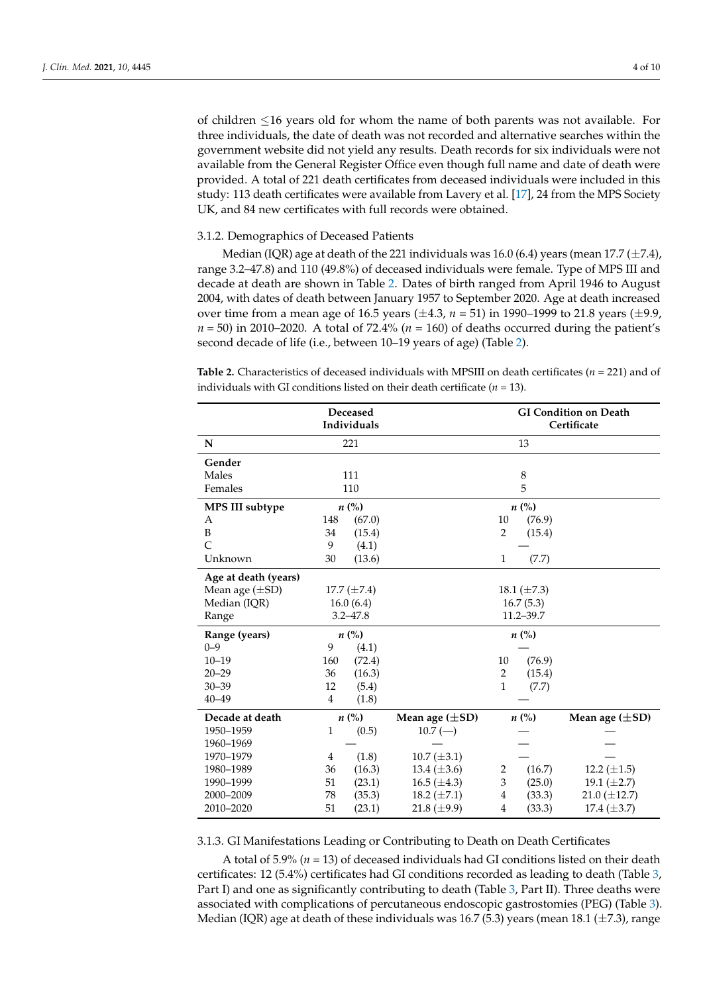of children ≤16 years old for whom the name of both parents was not available. For three individuals, the date of death was not recorded and alternative searches within the government website did not yield any results. Death records for six individuals were not available from the General Register Office even though full name and date of death were provided. A total of 221 death certificates from deceased individuals were included in this study: 113 death certificates were available from Lavery et al. [\[17\]](#page-8-5), 24 from the MPS Society UK, and 84 new certificates with full records were obtained.

#### 3.1.2. Demographics of Deceased Patients

Median (IQR) age at death of the 221 individuals was 16.0 (6.4) years (mean 17.7 ( $\pm$ 7.4), range 3.2–47.8) and 110 (49.8%) of deceased individuals were female. Type of MPS III and decade at death are shown in Table [2.](#page-3-0) Dates of birth ranged from April 1946 to August 2004, with dates of death between January 1957 to September 2020. Age at death increased over time from a mean age of 16.5 years (±4.3, *n* = 51) in 1990–1999 to 21.8 years (±9.9,  $n = 50$ ) in 2010–2020. A total of 72.4% ( $n = 160$ ) of deaths occurred during the patient's second decade of life (i.e., between 10–19 years of age) (Table [2\)](#page-3-0).

<span id="page-3-0"></span>**Table 2.** Characteristics of deceased individuals with MPSIII on death certificates (*n* = 221) and of individuals with GI conditions listed on their death certificate (*n* = 13).

|                      | Deceased<br>Individuals |                  |                     | <b>GI Condition on Death</b><br>Certificate |                  |                     |
|----------------------|-------------------------|------------------|---------------------|---------------------------------------------|------------------|---------------------|
| ${\bf N}$            |                         | 221              |                     |                                             | 13               |                     |
| Gender               |                         |                  |                     |                                             |                  |                     |
| Males                |                         | 111              | 8                   |                                             |                  |                     |
| Females              | 110                     |                  | 5                   |                                             |                  |                     |
| MPS III subtype      | $n\ (\%)$               |                  | $n\left(\%\right)$  |                                             |                  |                     |
| А                    | 148                     | (67.0)           |                     | 10                                          | (76.9)           |                     |
| B                    | 34                      | (15.4)           |                     | 2                                           | (15.4)           |                     |
| $\overline{C}$       | 9                       | (4.1)            |                     |                                             |                  |                     |
| Unknown              | 30                      | (13.6)           |                     | $\mathbf{1}$                                | (7.7)            |                     |
| Age at death (years) |                         |                  |                     |                                             |                  |                     |
| Mean age $(\pm SD)$  |                         | 17.7 $(\pm 7.4)$ |                     |                                             | 18.1 $(\pm 7.3)$ |                     |
| Median (IQR)         |                         | 16.0(6.4)        | 16.7(5.3)           |                                             |                  |                     |
| Range                |                         | $3.2 - 47.8$     | $11.2 - 39.7$       |                                             |                  |                     |
| Range (years)        |                         | $n\ (\%)$        |                     |                                             | $n\ (\%)$        |                     |
| $0 - 9$              | 9                       | (4.1)            |                     |                                             |                  |                     |
| $10 - 19$            | 160                     | (72.4)           |                     | 10                                          | (76.9)           |                     |
| $20 - 29$            | 36                      | (16.3)           |                     | $\overline{2}$                              | (15.4)           |                     |
| $30 - 39$            | 12                      | (5.4)            |                     | $\mathbf{1}$                                | (7.7)            |                     |
| $40 - 49$            | 4                       | (1.8)            |                     |                                             |                  |                     |
| Decade at death      |                         | $n\ (\%)$        | Mean age $(\pm SD)$ |                                             | $n\ (\%)$        | Mean age $(\pm SD)$ |
| 1950-1959            | 1                       | (0.5)            | $10.7 (-)$          |                                             |                  |                     |
| 1960-1969            |                         |                  |                     |                                             |                  |                     |
| 1970-1979            | 4                       | (1.8)            | $10.7 (\pm 3.1)$    |                                             |                  |                     |
| 1980-1989            | 36                      | (16.3)           | 13.4 $(\pm 3.6)$    | 2                                           | (16.7)           | 12.2 $(\pm 1.5)$    |
| 1990-1999            | 51                      | (23.1)           | 16.5 $(\pm 4.3)$    | 3                                           | (25.0)           | 19.1 $(\pm 2.7)$    |
| 2000-2009            | 78                      | (35.3)           | 18.2 $(\pm 7.1)$    | $\overline{4}$                              | (33.3)           | 21.0 $(\pm 12.7)$   |
| 2010-2020            | 51                      | (23.1)           | 21.8 ( $\pm$ 9.9)   | $\overline{4}$                              | (33.3)           | 17.4 $(\pm 3.7)$    |

3.1.3. GI Manifestations Leading or Contributing to Death on Death Certificates

A total of 5.9% (*n* = 13) of deceased individuals had GI conditions listed on their death certificates: 12 (5.4%) certificates had GI conditions recorded as leading to death (Table [3,](#page-4-0) Part I) and one as significantly contributing to death (Table [3,](#page-4-0) Part II). Three deaths were associated with complications of percutaneous endoscopic gastrostomies (PEG) (Table [3\)](#page-4-0). Median (IQR) age at death of these individuals was 16.7 (5.3) years (mean 18.1 ( $\pm$ 7.3), range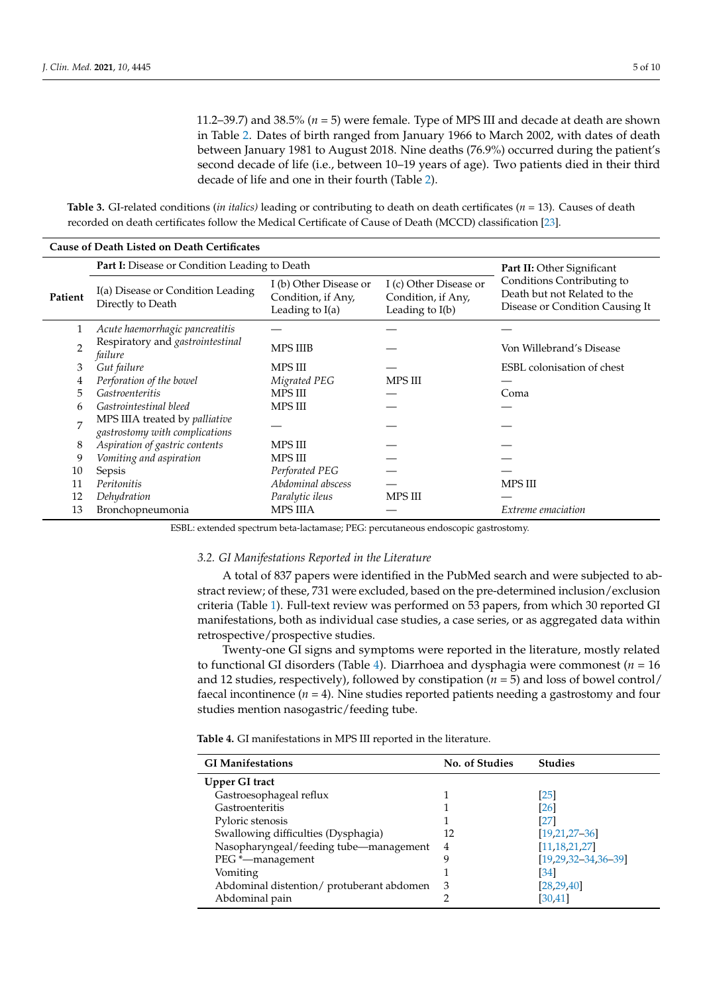11.2–39.7) and 38.5% (*n* = 5) were female. Type of MPS III and decade at death are shown in Table [2.](#page-3-0) Dates of birth ranged from January 1966 to March 2002, with dates of death between January 1981 to August 2018. Nine deaths (76.9%) occurred during the patient's second decade of life (i.e., between 10–19 years of age). Two patients died in their third decade of life and one in their fourth (Table [2\)](#page-3-0).

<span id="page-4-0"></span>**Table 3.** GI-related conditions (*in italics)* leading or contributing to death on death certificates (*n* = 13). Causes of death recorded on death certificates follow the Medical Certificate of Cause of Death (MCCD) classification [\[23\]](#page-8-11).

| <b>Cause of Death Listed on Death Certificates</b> |                                                                  |                                                                   |                                                                   |                                                                                               |
|----------------------------------------------------|------------------------------------------------------------------|-------------------------------------------------------------------|-------------------------------------------------------------------|-----------------------------------------------------------------------------------------------|
|                                                    | Part I: Disease or Condition Leading to Death                    |                                                                   |                                                                   | Part II: Other Significant                                                                    |
| Patient                                            | I(a) Disease or Condition Leading<br>Directly to Death           | I (b) Other Disease or<br>Condition, if Any,<br>Leading to $I(a)$ | I (c) Other Disease or<br>Condition, if Any,<br>Leading to $I(b)$ | Conditions Contributing to<br>Death but not Related to the<br>Disease or Condition Causing It |
|                                                    | Acute haemorrhagic pancreatitis                                  |                                                                   |                                                                   |                                                                                               |
| $\overline{2}$                                     | Respiratory and gastrointestinal<br>failure                      | <b>MPS IIIB</b>                                                   |                                                                   | Von Willebrand's Disease                                                                      |
| 3                                                  | Gut failure                                                      | MPS III                                                           |                                                                   | ESBL colonisation of chest                                                                    |
| 4                                                  | Perforation of the bowel                                         | Migrated PEG                                                      | MPS III                                                           |                                                                                               |
| 5                                                  | <b>Gastroenteritis</b>                                           | <b>MPS III</b>                                                    |                                                                   | Coma                                                                                          |
| 6                                                  | Gastrointestinal bleed                                           | <b>MPS III</b>                                                    |                                                                   |                                                                                               |
| 7                                                  | MPS IIIA treated by palliative<br>gastrostomy with complications |                                                                   |                                                                   |                                                                                               |
| 8                                                  | Aspiration of gastric contents                                   | MPS III                                                           |                                                                   |                                                                                               |
| 9                                                  | Vomiting and aspiration                                          | <b>MPS III</b>                                                    |                                                                   |                                                                                               |
| 10                                                 | Sepsis                                                           | Perforated PEG                                                    |                                                                   |                                                                                               |
| 11                                                 | Peritonitis                                                      | Abdominal abscess                                                 |                                                                   | MPS III                                                                                       |
| 12                                                 | Dehydration                                                      | Paralytic ileus                                                   | <b>MPS III</b>                                                    |                                                                                               |
| 13                                                 | Bronchopneumonia                                                 | <b>MPS IIIA</b>                                                   |                                                                   | Extreme emaciation                                                                            |

ESBL: extended spectrum beta-lactamase; PEG: percutaneous endoscopic gastrostomy.

#### *3.2. GI Manifestations Reported in the Literature*

A total of 837 papers were identified in the PubMed search and were subjected to abstract review; of these, 731 were excluded, based on the pre-determined inclusion/exclusion criteria (Table [1\)](#page-2-0). Full-text review was performed on 53 papers, from which 30 reported GI manifestations, both as individual case studies, a case series, or as aggregated data within retrospective/prospective studies.

Twenty-one GI signs and symptoms were reported in the literature, mostly related to functional GI disorders (Table [4\)](#page-4-1). Diarrhoea and dysphagia were commonest ( $n = 16$ ) and 12 studies, respectively), followed by constipation  $(n = 5)$  and loss of bowel control/ faecal incontinence  $(n = 4)$ . Nine studies reported patients needing a gastrostomy and four studies mention nasogastric/feeding tube.

<span id="page-4-1"></span>**Table 4.** GI manifestations in MPS III reported in the literature.

| <b>GI Manifestations</b>                  | No. of Studies | <b>Studies</b>            |
|-------------------------------------------|----------------|---------------------------|
| Upper GI tract                            |                |                           |
| Gastroesophageal reflux                   |                | $\lceil 25 \rceil$        |
| Gastroenteritis                           |                | [26]                      |
| Pyloric stenosis                          |                | [27]                      |
| Swallowing difficulties (Dysphagia)       | 12             | $[19, 21, 27 - 36]$       |
| Nasopharyngeal/feeding tube-management    | 4              | [11, 18, 21, 27]          |
| PEG *—management                          | g              | $[19.29.32 - 34.36 - 39]$ |
| Vomiting                                  |                | [34]                      |
| Abdominal distention/ protuberant abdomen | 3              | [28, 29, 40]              |
| Abdominal pain                            |                | [30, 41]                  |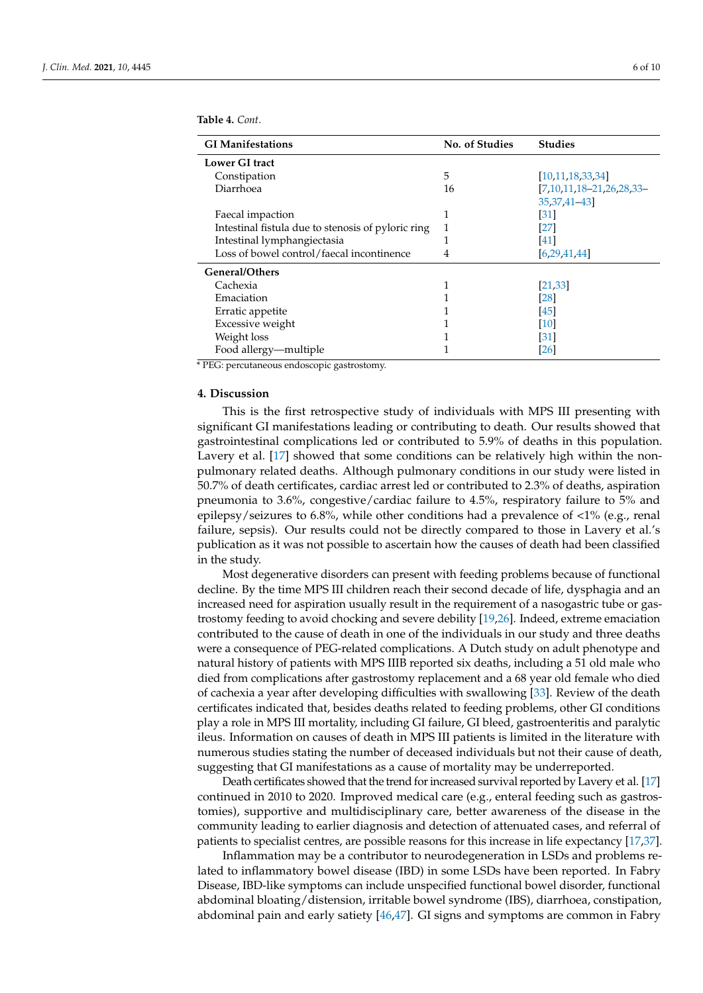| <b>Table 4.</b> Cont. |  |
|-----------------------|--|
|-----------------------|--|

| <b>GI Manifestations</b>                           | No. of Studies | <b>Studies</b>           |
|----------------------------------------------------|----------------|--------------------------|
| Lower GI tract                                     |                |                          |
| Constipation                                       | 5              | [10, 11, 18, 33, 34]     |
| Diarrhoea                                          | 16             | [7,10,11,18-21,26,28,33- |
|                                                    |                | 35, 37, 41 - 43]         |
| Faecal impaction                                   |                | [31]                     |
| Intestinal fistula due to stenosis of pyloric ring | 1              | [27]                     |
| Intestinal lymphangiectasia                        | 1              | [41]                     |
| Loss of bowel control/faecal incontinence          | 4              | [6, 29, 41, 44]          |
| General/Others                                     |                |                          |
| Cachexia                                           | 1              | [21, 33]                 |
| Emaciation                                         |                | [28]                     |
| Erratic appetite                                   |                | [45]                     |
| Excessive weight                                   |                | [10]                     |
| Weight loss                                        |                | [31]                     |
| Food allergy—multiple                              | T              | $[26]$                   |

\* PEG: percutaneous endoscopic gastrostomy.

# **4. Discussion**

This is the first retrospective study of individuals with MPS III presenting with significant GI manifestations leading or contributing to death. Our results showed that gastrointestinal complications led or contributed to 5.9% of deaths in this population. Lavery et al. [\[17\]](#page-8-5) showed that some conditions can be relatively high within the nonpulmonary related deaths. Although pulmonary conditions in our study were listed in 50.7% of death certificates, cardiac arrest led or contributed to 2.3% of deaths, aspiration pneumonia to 3.6%, congestive/cardiac failure to 4.5%, respiratory failure to 5% and epilepsy/seizures to 6.8%, while other conditions had a prevalence of  $\langle 1\%$  (e.g., renal failure, sepsis). Our results could not be directly compared to those in Lavery et al.'s publication as it was not possible to ascertain how the causes of death had been classified in the study.

Most degenerative disorders can present with feeding problems because of functional decline. By the time MPS III children reach their second decade of life, dysphagia and an increased need for aspiration usually result in the requirement of a nasogastric tube or gastrostomy feeding to avoid chocking and severe debility [\[19,](#page-8-7)[26\]](#page-8-14). Indeed, extreme emaciation contributed to the cause of death in one of the individuals in our study and three deaths were a consequence of PEG-related complications. A Dutch study on adult phenotype and natural history of patients with MPS IIIB reported six deaths, including a 51 old male who died from complications after gastrostomy replacement and a 68 year old female who died of cachexia a year after developing difficulties with swallowing [\[33\]](#page-8-20). Review of the death certificates indicated that, besides deaths related to feeding problems, other GI conditions play a role in MPS III mortality, including GI failure, GI bleed, gastroenteritis and paralytic ileus. Information on causes of death in MPS III patients is limited in the literature with numerous studies stating the number of deceased individuals but not their cause of death, suggesting that GI manifestations as a cause of mortality may be underreported.

Death certificates showed that the trend for increased survival reported by Lavery et al. [\[17\]](#page-8-5) continued in 2010 to 2020. Improved medical care (e.g., enteral feeding such as gastrostomies), supportive and multidisciplinary care, better awareness of the disease in the community leading to earlier diagnosis and detection of attenuated cases, and referral of patients to specialist centres, are possible reasons for this increase in life expectancy [\[17](#page-8-5)[,37\]](#page-9-6).

Inflammation may be a contributor to neurodegeneration in LSDs and problems related to inflammatory bowel disease (IBD) in some LSDs have been reported. In Fabry Disease, IBD-like symptoms can include unspecified functional bowel disorder, functional abdominal bloating/distension, irritable bowel syndrome (IBS), diarrhoea, constipation, abdominal pain and early satiety [\[46](#page-9-10)[,47\]](#page-9-11). GI signs and symptoms are common in Fabry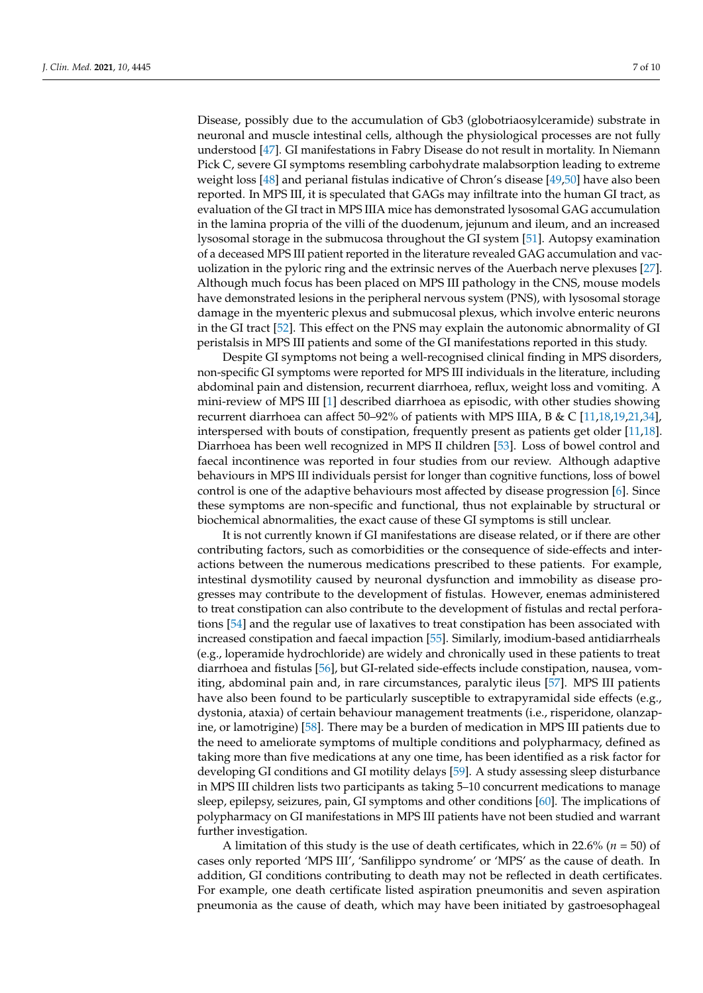Disease, possibly due to the accumulation of Gb3 (globotriaosylceramide) substrate in neuronal and muscle intestinal cells, although the physiological processes are not fully understood [\[47\]](#page-9-11). GI manifestations in Fabry Disease do not result in mortality. In Niemann Pick C, severe GI symptoms resembling carbohydrate malabsorption leading to extreme weight loss [\[48\]](#page-9-12) and perianal fistulas indicative of Chron's disease [\[49](#page-9-13)[,50\]](#page-9-14) have also been reported. In MPS III, it is speculated that GAGs may infiltrate into the human GI tract, as evaluation of the GI tract in MPS IIIA mice has demonstrated lysosomal GAG accumulation in the lamina propria of the villi of the duodenum, jejunum and ileum, and an increased lysosomal storage in the submucosa throughout the GI system [\[51\]](#page-9-15). Autopsy examination of a deceased MPS III patient reported in the literature revealed GAG accumulation and vacuolization in the pyloric ring and the extrinsic nerves of the Auerbach nerve plexuses [\[27\]](#page-8-15). Although much focus has been placed on MPS III pathology in the CNS, mouse models have demonstrated lesions in the peripheral nervous system (PNS), with lysosomal storage damage in the myenteric plexus and submucosal plexus, which involve enteric neurons in the GI tract [\[52\]](#page-9-16). This effect on the PNS may explain the autonomic abnormality of GI peristalsis in MPS III patients and some of the GI manifestations reported in this study.

Despite GI symptoms not being a well-recognised clinical finding in MPS disorders, non-specific GI symptoms were reported for MPS III individuals in the literature, including abdominal pain and distension, recurrent diarrhoea, reflux, weight loss and vomiting. A mini-review of MPS III [\[1\]](#page-7-0) described diarrhoea as episodic, with other studies showing recurrent diarrhoea can affect 50–92% of patients with MPS IIIA, B & C [\[11,](#page-8-3)[18,](#page-8-6)[19,](#page-8-7)[21,](#page-8-9)[34\]](#page-9-1), interspersed with bouts of constipation, frequently present as patients get older [\[11,](#page-8-3)[18\]](#page-8-6). Diarrhoea has been well recognized in MPS II children [\[53\]](#page-9-17). Loss of bowel control and faecal incontinence was reported in four studies from our review. Although adaptive behaviours in MPS III individuals persist for longer than cognitive functions, loss of bowel control is one of the adaptive behaviours most affected by disease progression [\[6\]](#page-7-5). Since these symptoms are non-specific and functional, thus not explainable by structural or biochemical abnormalities, the exact cause of these GI symptoms is still unclear.

It is not currently known if GI manifestations are disease related, or if there are other contributing factors, such as comorbidities or the consequence of side-effects and interactions between the numerous medications prescribed to these patients. For example, intestinal dysmotility caused by neuronal dysfunction and immobility as disease progresses may contribute to the development of fistulas. However, enemas administered to treat constipation can also contribute to the development of fistulas and rectal perforations [\[54\]](#page-9-18) and the regular use of laxatives to treat constipation has been associated with increased constipation and faecal impaction [\[55\]](#page-9-19). Similarly, imodium-based antidiarrheals (e.g., loperamide hydrochloride) are widely and chronically used in these patients to treat diarrhoea and fistulas [\[56\]](#page-9-20), but GI-related side-effects include constipation, nausea, vomiting, abdominal pain and, in rare circumstances, paralytic ileus [\[57\]](#page-9-21). MPS III patients have also been found to be particularly susceptible to extrapyramidal side effects (e.g., dystonia, ataxia) of certain behaviour management treatments (i.e., risperidone, olanzapine, or lamotrigine) [\[58\]](#page-9-22). There may be a burden of medication in MPS III patients due to the need to ameliorate symptoms of multiple conditions and polypharmacy, defined as taking more than five medications at any one time, has been identified as a risk factor for developing GI conditions and GI motility delays [\[59\]](#page-9-23). A study assessing sleep disturbance in MPS III children lists two participants as taking 5–10 concurrent medications to manage sleep, epilepsy, seizures, pain, GI symptoms and other conditions [\[60\]](#page-9-24). The implications of polypharmacy on GI manifestations in MPS III patients have not been studied and warrant further investigation.

A limitation of this study is the use of death certificates, which in 22.6% (*n* = 50) of cases only reported 'MPS III', 'Sanfilippo syndrome' or 'MPS' as the cause of death. In addition, GI conditions contributing to death may not be reflected in death certificates. For example, one death certificate listed aspiration pneumonitis and seven aspiration pneumonia as the cause of death, which may have been initiated by gastroesophageal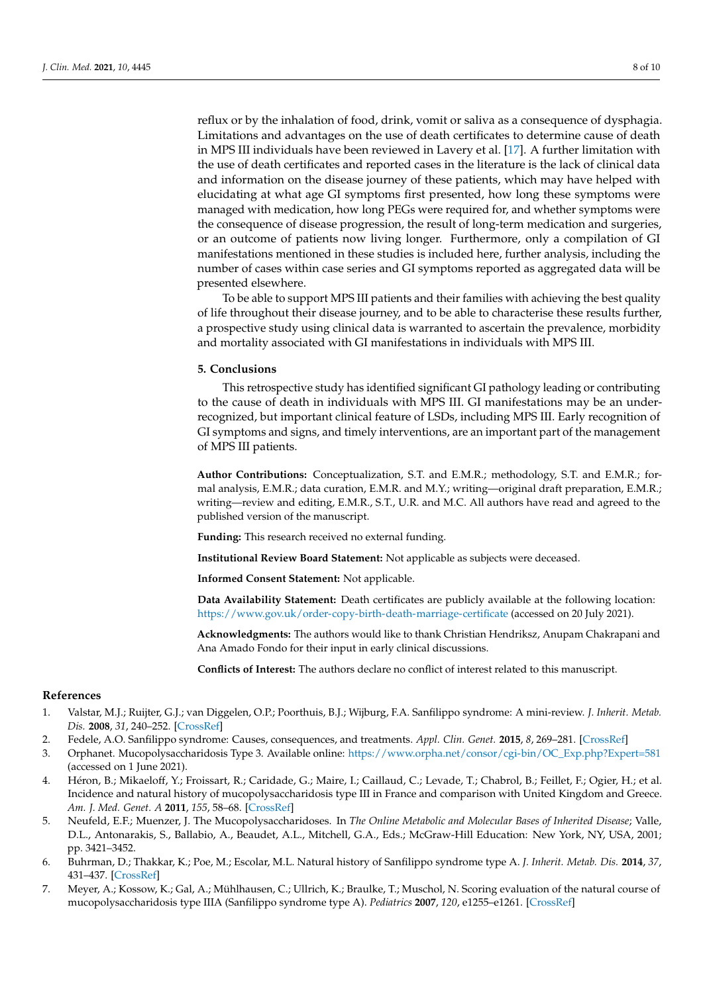reflux or by the inhalation of food, drink, vomit or saliva as a consequence of dysphagia. Limitations and advantages on the use of death certificates to determine cause of death in MPS III individuals have been reviewed in Lavery et al. [\[17\]](#page-8-5). A further limitation with the use of death certificates and reported cases in the literature is the lack of clinical data and information on the disease journey of these patients, which may have helped with elucidating at what age GI symptoms first presented, how long these symptoms were managed with medication, how long PEGs were required for, and whether symptoms were the consequence of disease progression, the result of long-term medication and surgeries, or an outcome of patients now living longer. Furthermore, only a compilation of GI manifestations mentioned in these studies is included here, further analysis, including the number of cases within case series and GI symptoms reported as aggregated data will be presented elsewhere.

To be able to support MPS III patients and their families with achieving the best quality of life throughout their disease journey, and to be able to characterise these results further, a prospective study using clinical data is warranted to ascertain the prevalence, morbidity and mortality associated with GI manifestations in individuals with MPS III.

#### **5. Conclusions**

This retrospective study has identified significant GI pathology leading or contributing to the cause of death in individuals with MPS III. GI manifestations may be an underrecognized, but important clinical feature of LSDs, including MPS III. Early recognition of GI symptoms and signs, and timely interventions, are an important part of the management of MPS III patients.

**Author Contributions:** Conceptualization, S.T. and E.M.R.; methodology, S.T. and E.M.R.; formal analysis, E.M.R.; data curation, E.M.R. and M.Y.; writing—original draft preparation, E.M.R.; writing—review and editing, E.M.R., S.T., U.R. and M.C. All authors have read and agreed to the published version of the manuscript.

**Funding:** This research received no external funding.

**Institutional Review Board Statement:** Not applicable as subjects were deceased.

**Informed Consent Statement:** Not applicable.

**Data Availability Statement:** Death certificates are publicly available at the following location: <https://www.gov.uk/order-copy-birth-death-marriage-certificate> (accessed on 20 July 2021).

**Acknowledgments:** The authors would like to thank Christian Hendriksz, Anupam Chakrapani and Ana Amado Fondo for their input in early clinical discussions.

**Conflicts of Interest:** The authors declare no conflict of interest related to this manuscript.

# **References**

- <span id="page-7-0"></span>1. Valstar, M.J.; Ruijter, G.J.; van Diggelen, O.P.; Poorthuis, B.J.; Wijburg, F.A. Sanfilippo syndrome: A mini-review. *J. Inherit. Metab. Dis.* **2008**, *31*, 240–252. [\[CrossRef\]](http://doi.org/10.1007/s10545-008-0838-5)
- <span id="page-7-1"></span>2. Fedele, A.O. Sanfilippo syndrome: Causes, consequences, and treatments. *Appl. Clin. Genet.* **2015**, *8*, 269–281. [\[CrossRef\]](http://doi.org/10.2147/TACG.S57672)
- <span id="page-7-2"></span>3. Orphanet. Mucopolysaccharidosis Type 3. Available online: [https://www.orpha.net/consor/cgi-bin/OC\\_Exp.php?Expert=581](https://www.orpha.net/consor/cgi-bin/OC_Exp.php?Expert=581) (accessed on 1 June 2021).
- <span id="page-7-3"></span>4. Héron, B.; Mikaeloff, Y.; Froissart, R.; Caridade, G.; Maire, I.; Caillaud, C.; Levade, T.; Chabrol, B.; Feillet, F.; Ogier, H.; et al. Incidence and natural history of mucopolysaccharidosis type III in France and comparison with United Kingdom and Greece. *Am. J. Med. Genet. A* **2011**, *155*, 58–68. [\[CrossRef\]](http://doi.org/10.1002/ajmg.a.33779)
- <span id="page-7-4"></span>5. Neufeld, E.F.; Muenzer, J. The Mucopolysaccharidoses. In *The Online Metabolic and Molecular Bases of Inherited Disease*; Valle, D.L., Antonarakis, S., Ballabio, A., Beaudet, A.L., Mitchell, G.A., Eds.; McGraw-Hill Education: New York, NY, USA, 2001; pp. 3421–3452.
- <span id="page-7-5"></span>6. Buhrman, D.; Thakkar, K.; Poe, M.; Escolar, M.L. Natural history of Sanfilippo syndrome type A. *J. Inherit. Metab. Dis.* **2014**, *37*, 431–437. [\[CrossRef\]](http://doi.org/10.1007/s10545-013-9661-8)
- <span id="page-7-6"></span>7. Meyer, A.; Kossow, K.; Gal, A.; Mühlhausen, C.; Ullrich, K.; Braulke, T.; Muschol, N. Scoring evaluation of the natural course of mucopolysaccharidosis type IIIA (Sanfilippo syndrome type A). *Pediatrics* **2007**, *120*, e1255–e1261. [\[CrossRef\]](http://doi.org/10.1542/peds.2007-0282)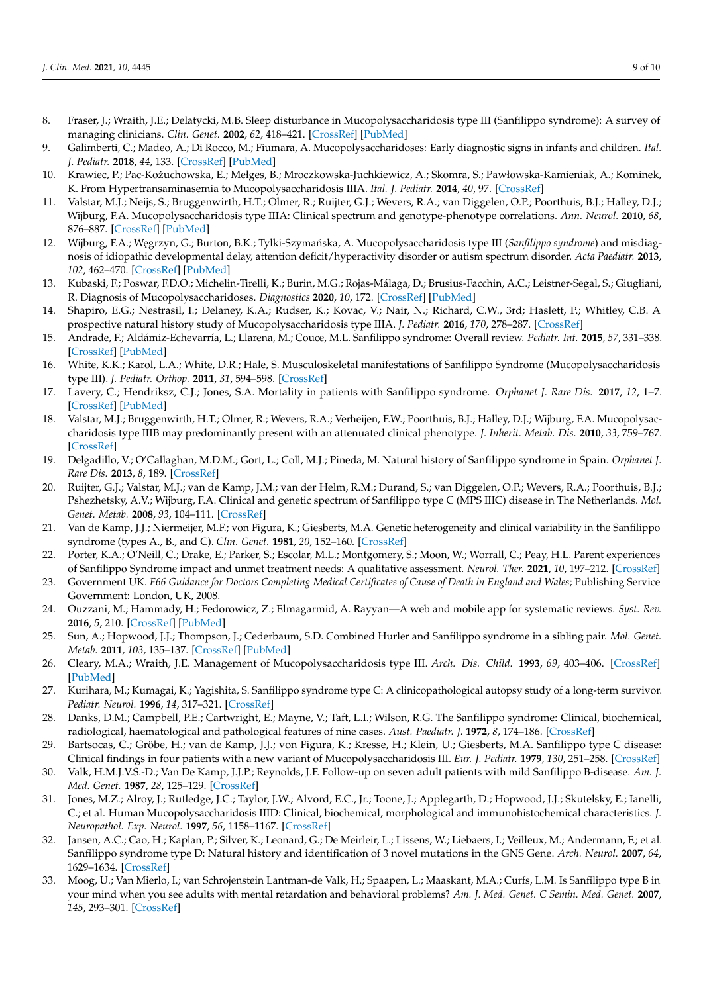- <span id="page-8-0"></span>8. Fraser, J.; Wraith, J.E.; Delatycki, M.B. Sleep disturbance in Mucopolysaccharidosis type III (Sanfilippo syndrome): A survey of managing clinicians. *Clin. Genet.* **2002**, *62*, 418–421. [\[CrossRef\]](http://doi.org/10.1034/j.1399-0004.2002.620512.x) [\[PubMed\]](http://www.ncbi.nlm.nih.gov/pubmed/12431260)
- <span id="page-8-1"></span>9. Galimberti, C.; Madeo, A.; Di Rocco, M.; Fiumara, A. Mucopolysaccharidoses: Early diagnostic signs in infants and children. *Ital. J. Pediatr.* **2018**, *44*, 133. [\[CrossRef\]](http://doi.org/10.1186/s13052-018-0550-5) [\[PubMed\]](http://www.ncbi.nlm.nih.gov/pubmed/30442162)
- <span id="page-8-2"></span>10. Krawiec, P.; Pac-Kozuchowska, E.; Mełges, B.; Mroczkowska-Juchkiewicz, A.; Skomra, S.; Pawłowska-Kamieniak, A.; Kominek, ˙ K. From Hypertransaminasemia to Mucopolysaccharidosis IIIA. *Ital. J. Pediatr.* **2014**, *40*, 97. [\[CrossRef\]](http://doi.org/10.1186/s13052-014-0097-z)
- <span id="page-8-3"></span>11. Valstar, M.J.; Neijs, S.; Bruggenwirth, H.T.; Olmer, R.; Ruijter, G.J.; Wevers, R.A.; van Diggelen, O.P.; Poorthuis, B.J.; Halley, D.J.; Wijburg, F.A. Mucopolysaccharidosis type IIIA: Clinical spectrum and genotype-phenotype correlations. *Ann. Neurol.* **2010**, *68*, 876–887. [\[CrossRef\]](http://doi.org/10.1002/ana.22092) [\[PubMed\]](http://www.ncbi.nlm.nih.gov/pubmed/21061399)
- 12. Wijburg, F.A.; Węgrzyn, G.; Burton, B.K.; Tylki-Szymańska, A. Mucopolysaccharidosis type III (*Sanfilippo syndrome*) and misdiagnosis of idiopathic developmental delay, attention deficit/hyperactivity disorder or autism spectrum disorder. *Acta Paediatr.* **2013**, *102*, 462–470. [\[CrossRef\]](http://doi.org/10.1111/apa.12169) [\[PubMed\]](http://www.ncbi.nlm.nih.gov/pubmed/23336697)
- 13. Kubaski, F.; Poswar, F.D.O.; Michelin-Tirelli, K.; Burin, M.G.; Rojas-Málaga, D.; Brusius-Facchin, A.C.; Leistner-Segal, S.; Giugliani, R. Diagnosis of Mucopolysaccharidoses. *Diagnostics* **2020**, *10*, 172. [\[CrossRef\]](http://doi.org/10.3390/diagnostics10030172) [\[PubMed\]](http://www.ncbi.nlm.nih.gov/pubmed/32235807)
- 14. Shapiro, E.G.; Nestrasil, I.; Delaney, K.A.; Rudser, K.; Kovac, V.; Nair, N.; Richard, C.W., 3rd; Haslett, P.; Whitley, C.B. A prospective natural history study of Mucopolysaccharidosis type IIIA. *J. Pediatr.* **2016**, *170*, 278–287. [\[CrossRef\]](http://doi.org/10.1016/j.jpeds.2015.11.079)
- 15. Andrade, F.; Aldámiz-Echevarría, L.; Llarena, M.; Couce, M.L. Sanfilippo syndrome: Overall review. *Pediatr. Int.* **2015**, *57*, 331–338. [\[CrossRef\]](http://doi.org/10.1111/ped.12636) [\[PubMed\]](http://www.ncbi.nlm.nih.gov/pubmed/25851924)
- <span id="page-8-4"></span>16. White, K.K.; Karol, L.A.; White, D.R.; Hale, S. Musculoskeletal manifestations of Sanfilippo Syndrome (Mucopolysaccharidosis type III). *J. Pediatr. Orthop.* **2011**, *31*, 594–598. [\[CrossRef\]](http://doi.org/10.1097/BPO.0b013e31821f5ee9)
- <span id="page-8-5"></span>17. Lavery, C.; Hendriksz, C.J.; Jones, S.A. Mortality in patients with Sanfilippo syndrome. *Orphanet J. Rare Dis.* **2017**, *12*, 1–7. [\[CrossRef\]](http://doi.org/10.1186/s13023-017-0717-y) [\[PubMed\]](http://www.ncbi.nlm.nih.gov/pubmed/29061114)
- <span id="page-8-6"></span>18. Valstar, M.J.; Bruggenwirth, H.T.; Olmer, R.; Wevers, R.A.; Verheijen, F.W.; Poorthuis, B.J.; Halley, D.J.; Wijburg, F.A. Mucopolysaccharidosis type IIIB may predominantly present with an attenuated clinical phenotype. *J. Inherit. Metab. Dis.* **2010**, *33*, 759–767. [\[CrossRef\]](http://doi.org/10.1007/s10545-010-9199-y)
- <span id="page-8-7"></span>19. Delgadillo, V.; O'Callaghan, M.D.M.; Gort, L.; Coll, M.J.; Pineda, M. Natural history of Sanfilippo syndrome in Spain. *Orphanet J. Rare Dis.* **2013**, *8*, 189. [\[CrossRef\]](http://doi.org/10.1186/1750-1172-8-189)
- <span id="page-8-8"></span>20. Ruijter, G.J.; Valstar, M.J.; van de Kamp, J.M.; van der Helm, R.M.; Durand, S.; van Diggelen, O.P.; Wevers, R.A.; Poorthuis, B.J.; Pshezhetsky, A.V.; Wijburg, F.A. Clinical and genetic spectrum of Sanfilippo type C (MPS IIIC) disease in The Netherlands. *Mol. Genet. Metab.* **2008**, *93*, 104–111. [\[CrossRef\]](http://doi.org/10.1016/j.ymgme.2007.09.011)
- <span id="page-8-9"></span>21. Van de Kamp, J.J.; Niermeijer, M.F.; von Figura, K.; Giesberts, M.A. Genetic heterogeneity and clinical variability in the Sanfilippo syndrome (types A., B., and C). *Clin. Genet.* **1981**, *20*, 152–160. [\[CrossRef\]](http://doi.org/10.1111/j.1399-0004.1981.tb01821.x)
- <span id="page-8-10"></span>22. Porter, K.A.; O'Neill, C.; Drake, E.; Parker, S.; Escolar, M.L.; Montgomery, S.; Moon, W.; Worrall, C.; Peay, H.L. Parent experiences of Sanfilippo Syndrome impact and unmet treatment needs: A qualitative assessment. *Neurol. Ther.* **2021**, *10*, 197–212. [\[CrossRef\]](http://doi.org/10.1007/s40120-020-00226-z)
- <span id="page-8-11"></span>23. Government UK. *F66 Guidance for Doctors Completing Medical Certificates of Cause of Death in England and Wales*; Publishing Service Government: London, UK, 2008.
- <span id="page-8-12"></span>24. Ouzzani, M.; Hammady, H.; Fedorowicz, Z.; Elmagarmid, A. Rayyan—A web and mobile app for systematic reviews. *Syst. Rev.* **2016**, *5*, 210. [\[CrossRef\]](http://doi.org/10.1186/s13643-016-0384-4) [\[PubMed\]](http://www.ncbi.nlm.nih.gov/pubmed/27919275)
- <span id="page-8-13"></span>25. Sun, A.; Hopwood, J.J.; Thompson, J.; Cederbaum, S.D. Combined Hurler and Sanfilippo syndrome in a sibling pair. *Mol. Genet. Metab.* **2011**, *103*, 135–137. [\[CrossRef\]](http://doi.org/10.1016/j.ymgme.2011.02.011) [\[PubMed\]](http://www.ncbi.nlm.nih.gov/pubmed/21393040)
- <span id="page-8-14"></span>26. Cleary, M.A.; Wraith, J.E. Management of Mucopolysaccharidosis type III. *Arch. Dis. Child.* **1993**, *69*, 403–406. [\[CrossRef\]](http://doi.org/10.1136/adc.69.3.403) [\[PubMed\]](http://www.ncbi.nlm.nih.gov/pubmed/8215557)
- <span id="page-8-15"></span>27. Kurihara, M.; Kumagai, K.; Yagishita, S. Sanfilippo syndrome type C: A clinicopathological autopsy study of a long-term survivor. *Pediatr. Neurol.* **1996**, *14*, 317–321. [\[CrossRef\]](http://doi.org/10.1016/0887-8994(96)00083-5)
- <span id="page-8-18"></span>28. Danks, D.M.; Campbell, P.E.; Cartwright, E.; Mayne, V.; Taft, L.I.; Wilson, R.G. The Sanfilippo syndrome: Clinical, biochemical, radiological, haematological and pathological features of nine cases. *Aust. Paediatr. J.* **1972**, *8*, 174–186. [\[CrossRef\]](http://doi.org/10.1111/j.1440-1754.1972.tb01817.x)
- <span id="page-8-16"></span>29. Bartsocas, C.; Gröbe, H.; van de Kamp, J.J.; von Figura, K.; Kresse, H.; Klein, U.; Giesberts, M.A. Sanfilippo type C disease: Clinical findings in four patients with a new variant of Mucopolysaccharidosis III. *Eur. J. Pediatr.* **1979**, *130*, 251–258. [\[CrossRef\]](http://doi.org/10.1007/BF00441361)
- <span id="page-8-19"></span>30. Valk, H.M.J.V.S.-D.; Van De Kamp, J.J.P.; Reynolds, J.F. Follow-up on seven adult patients with mild Sanfilippo B-disease. *Am. J. Med. Genet.* **1987**, *28*, 125–129. [\[CrossRef\]](http://doi.org/10.1002/ajmg.1320280118)
- <span id="page-8-21"></span>31. Jones, M.Z.; Alroy, J.; Rutledge, J.C.; Taylor, J.W.; Alvord, E.C., Jr.; Toone, J.; Applegarth, D.; Hopwood, J.J.; Skutelsky, E.; Ianelli, C.; et al. Human Mucopolysaccharidosis IIID: Clinical, biochemical, morphological and immunohistochemical characteristics. *J. Neuropathol. Exp. Neurol.* **1997**, *56*, 1158–1167. [\[CrossRef\]](http://doi.org/10.1097/00005072-199710000-00010)
- <span id="page-8-17"></span>32. Jansen, A.C.; Cao, H.; Kaplan, P.; Silver, K.; Leonard, G.; De Meirleir, L.; Lissens, W.; Liebaers, I.; Veilleux, M.; Andermann, F.; et al. Sanfilippo syndrome type D: Natural history and identification of 3 novel mutations in the GNS Gene. *Arch. Neurol.* **2007**, *64*, 1629–1634. [\[CrossRef\]](http://doi.org/10.1001/archneur.64.11.1629)
- <span id="page-8-20"></span>33. Moog, U.; Van Mierlo, I.; van Schrojenstein Lantman-de Valk, H.; Spaapen, L.; Maaskant, M.A.; Curfs, L.M. Is Sanfilippo type B in your mind when you see adults with mental retardation and behavioral problems? *Am. J. Med. Genet. C Semin. Med. Genet.* **2007**, *145*, 293–301. [\[CrossRef\]](http://doi.org/10.1002/ajmg.c.30142)